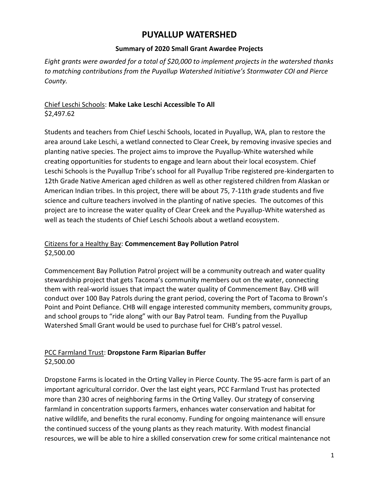# **PUYALLUP WATERSHED**

### **Summary of 2020 Small Grant Awardee Projects**

*Eight grants were awarded for a total of \$20,000 to implement projects in the watershed thanks to matching contributions from the Puyallup Watershed Initiative's Stormwater COI and Pierce County.*

### Chief Leschi Schools: **Make Lake Leschi Accessible To All** \$2,497.62

Students and teachers from Chief Leschi Schools, located in Puyallup, WA, plan to restore the area around Lake Leschi, a wetland connected to Clear Creek, by removing invasive species and planting native species. The project aims to improve the Puyallup-White watershed while creating opportunities for students to engage and learn about their local ecosystem. Chief Leschi Schools is the Puyallup Tribe's school for all Puyallup Tribe registered pre-kindergarten to 12th Grade Native American aged children as well as other registered children from Alaskan or American Indian tribes. In this project, there will be about 75, 7-11th grade students and five science and culture teachers involved in the planting of native species. The outcomes of this project are to increase the water quality of Clear Creek and the Puyallup-White watershed as well as teach the students of Chief Leschi Schools about a wetland ecosystem.

### Citizens for a Healthy Bay: **Commencement Bay Pollution Patrol** \$2,500.00

Commencement Bay Pollution Patrol project will be a community outreach and water quality stewardship project that gets Tacoma's community members out on the water, connecting them with real-world issues that impact the water quality of Commencement Bay. CHB will conduct over 100 Bay Patrols during the grant period, covering the Port of Tacoma to Brown's Point and Point Defiance. CHB will engage interested community members, community groups, and school groups to "ride along" with our Bay Patrol team. Funding from the Puyallup Watershed Small Grant would be used to purchase fuel for CHB's patrol vessel.

#### PCC Farmland Trust: **Dropstone Farm Riparian Buffer** \$2,500.00

Dropstone Farms is located in the Orting Valley in Pierce County. The 95-acre farm is part of an important agricultural corridor. Over the last eight years, PCC Farmland Trust has protected more than 230 acres of neighboring farms in the Orting Valley. Our strategy of conserving farmland in concentration supports farmers, enhances water conservation and habitat for native wildlife, and benefits the rural economy. Funding for ongoing maintenance will ensure the continued success of the young plants as they reach maturity. With modest financial resources, we will be able to hire a skilled conservation crew for some critical maintenance not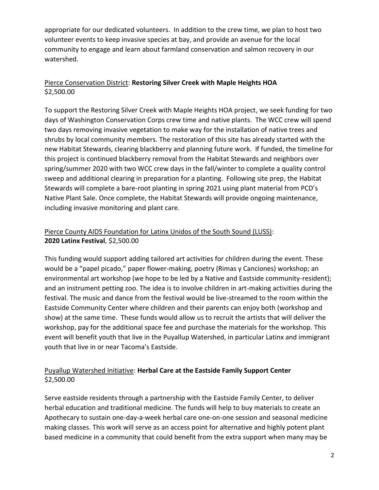appropriate for our dedicated volunteers. In addition to the crew time, we plan to host two volunteer events to keep invasive species at bay, and provide an avenue for the local community to engage and learn about farmland conservation and salmon recovery in our watershed.

### Pierce Conservation District: **Restoring Silver Creek with Maple Heights HOA** \$2,500.00

To support the Restoring Silver Creek with Maple Heights HOA project, we seek funding for two days of Washington Conservation Corps crew time and native plants. The WCC crew will spend two days removing invasive vegetation to make way for the installation of native trees and shrubs by local community members. The restoration of this site has already started with the new Habitat Stewards, clearing blackberry and planning future work. If funded, the timeline for this project is continued blackberry removal from the Habitat Stewards and neighbors over spring/summer 2020 with two WCC crew days in the fall/winter to complete a quality control sweep and additional clearing in preparation for a planting. Following site prep, the Habitat Stewards will complete a bare-root planting in spring 2021 using plant material from PCD's Native Plant Sale. Once complete, the Habitat Stewards will provide ongoing maintenance, including invasive monitoring and plant care.

# Pierce County AIDS Foundation for Latinx Unidos of the South Sound (LUSS): **2020 Latinx Festival**, \$2,500.00

This funding would support adding tailored art activities for children during the event. These would be a "papel picado," paper flower-making, poetry (Rimas y Canciones) workshop; an environmental art workshop (we hope to be led by a Native and Eastside community-resident); and an instrument petting zoo. The idea is to involve children in art-making activities during the festival. The music and dance from the festival would be live-streamed to the room within the Eastside Community Center where children and their parents can enjoy both (workshop and show) at the same time. These funds would allow us to recruit the artists that will deliver the workshop, pay for the additional space fee and purchase the materials for the workshop. This event will benefit youth that live in the Puyallup Watershed, in particular Latinx and immigrant youth that live in or near Tacoma's Eastside.

# Puyallup Watershed Initiative: **Herbal Care at the Eastside Family Support Center** \$2,500.00

Serve eastside residents through a partnership with the Eastside Family Center, to deliver herbal education and traditional medicine. The funds will help to buy materials to create an Apothecary to sustain one-day-a-week herbal care one-on-one session and seasonal medicine making classes. This work will serve as an access point for alternative and highly potent plant based medicine in a community that could benefit from the extra support when many may be